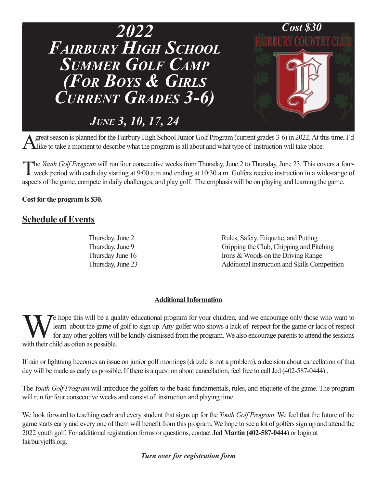

A great season is planned for the Fairbury High School Junior Golf Program (current grades 3-6) in 2022. At this time, I'd like to take a moment to describe what the program is all about and what type of instruction will t

The Youth Golf Program will run four consecutive weeks from Thursday, June 2 to Thursday, June 23. This covers a four-<br>week period with each day starting at 9:00 a.m and ending at 10:30 a.m. Golfers receive instruction in aspects of the game, compete in daily challenges, and play golf. The emphasis will be on playing and learning the game.

**Cost for the program is \$30.**

## **Schedule of Events**

Thursday, June 2 Rules, Safety, Etiquette, and Putting Thursday, June 9 Gripping the Club, Chipping and Pitching Thursday June 16 Irons & Woods on the Driving Range Thursday, June 23 Additional Instruction and Skills Competition

## **Additional Information**

We hope this will be a quality educational program for your children, and we encourage only those who want to learn about the game of golf to sign up. Any golfer who shows a lack of respect for the game or lack of respect learn about the game of golf to sign up. Any golfer who shows a lack of respect for the game or lack of respect for any other golfers will be kindly dismissed from the program. We also encourage parents to attend the sessions with their child as often as possible.

If rain or lightning becomes an issue on junior golf mornings (drizzle is not a problem), a decision about cancellation of that day will be made as early as possible. If there is a question about cancellation, feel free to call Jed (402-587-0444).

The *Youth Golf Program* will introduce the golfers to the basic fundamentals, rules, and etiquette of the game. The program will run for four consecutive weeks and consist of instruction and playing time.

We look forward to teaching each and every student that signs up for the *Youth Golf Program*. We feel that the future of the game starts early and every one of them will benefit from this program. We hope to see a lot of golfers sign up and attend the 2022 youth golf. For additional registration forms or questions, contact **Jed Martin (402-587-0444)** or login at fairburyjeffs.org.

*Turn over for registration form*